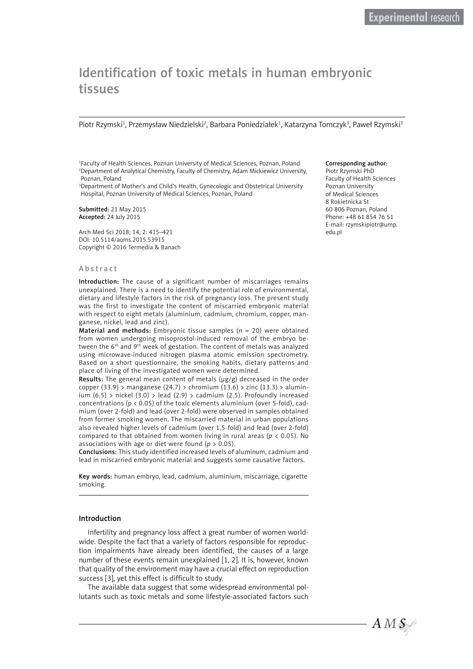# Identification of toxic metals in human embryonic tissues

Piotr Rzymski<sup>1</sup>, Przemysław Niedzielski<sup>2</sup>, Barbara Poniedziałek<sup>1</sup>, Katarzyna Tomczyk<sup>3</sup>, Paweł Rzymski<sup>3</sup>

1 Faculty of Health Sciences, Poznan University of Medical Sciences, Poznan, Poland 2 Department of Analytical Chemistry, Faculty of Chemistry, Adam Mickiewicz University, Poznan, Poland

3 Department of Mother's and Child's Health, Gynecologic and Obstetrical University Hospital, Poznan University of Medical Sciences, Poznan, Poland

Submitted: 21 May 2015 Accepted: 24 July 2015

Arch Med Sci 2018; 14, 2: 415–421 DOI: 10.5114/aoms.2015.53915 Copyright © 2016 Termedia & Banach

#### Abstract

Introduction: The cause of a significant number of miscarriages remains unexplained. There is a need to identify the potential role of environmental, dietary and lifestyle factors in the risk of pregnancy loss. The present study was the first to investigate the content of miscarried embryonic material with respect to eight metals (aluminium, cadmium, chromium, copper, manganese, nickel, lead and zinc).

Material and methods: Embryonic tissue samples (*n* = 20) were obtained from women undergoing misoprostol-induced removal of the embryo between the 6<sup>th</sup> and 9<sup>th</sup> week of gestation. The content of metals was analyzed using microwave-induced nitrogen plasma atomic emission spectrometry. Based on a short questionnaire, the smoking habits, dietary patterns and place of living of the investigated women were determined.

Results: The general mean content of metals (μg/g) decreased in the order copper (33.9) > manganese (24.7) > chromium (13.6) > zinc (13.3) > aluminium  $(6.5)$  > nickel  $(3.0)$  > lead  $(2.9)$  > cadmium  $(2.5)$ . Profoundly increased concentrations ( $p < 0.05$ ) of the toxic elements aluminium (over 5-fold), cadmium (over 2-fold) and lead (over 2-fold) were observed in samples obtained from former smoking women. The miscarried material in urban populations also revealed higher levels of cadmium (over 1.5-fold) and lead (over 2-fold) compared to that obtained from women living in rural areas ( $p < 0.05$ ). No associations with age or diet were found ( $p > 0.05$ ).

Conclusions: This study identified increased levels of aluminum, cadmium and lead in miscarried embryonic material and suggests some causative factors.

Key words: human embryo, lead, cadmium, aluminium, miscarriage, cigarette smoking.

#### Introduction

Infertility and pregnancy loss affect a great number of women worldwide. Despite the fact that a variety of factors responsible for reproduction impairments have already been identified, the causes of a large number of these events remain unexplained [1, 2]. It is, however, known that quality of the environment may have a crucial effect on reproduction success [3], yet this effect is difficult to study.

The available data suggest that some widespread environmental pollutants such as toxic metals and some lifestyle-associated factors such

#### Corresponding author:

Piotr Rzymski PhD Faculty of Health Sciences Poznan University of Medical Sciences 8 Rokietnicka St 60-806 Poznan, Poland Phone: +48 61 854 76 51 E-mail: rzymskipiotr@ump. edu.pl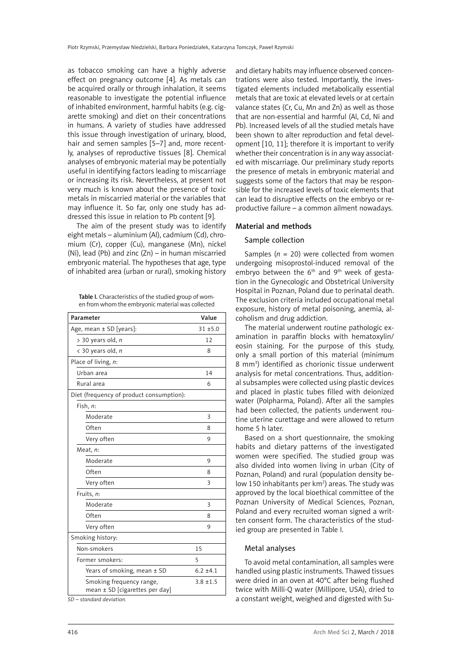as tobacco smoking can have a highly adverse effect on pregnancy outcome [4]. As metals can be acquired orally or through inhalation, it seems reasonable to investigate the potential influence of inhabited environment, harmful habits (e.g. cigarette smoking) and diet on their concentrations in humans. A variety of studies have addressed this issue through investigation of urinary, blood, hair and semen samples [5-7] and, more recently, analyses of reproductive tissues [8]. Chemical analyses of embryonic material may be potentially useful in identifying factors leading to miscarriage or increasing its risk. Nevertheless, at present not very much is known about the presence of toxic metals in miscarried material or the variables that may influence it. So far, only one study has addressed this issue in relation to Pb content [9].

The aim of the present study was to identify eight metals – aluminium (Al), cadmium (Cd), chromium (Cr), copper (Cu), manganese (Mn), nickel (Ni), lead (Pb) and zinc (Zn) – in human miscarried embryonic material. The hypotheses that age, type of inhabited area (urban or rural), smoking history

Table I. Characteristics of the studied group of women from whom the embryonic material was collected

| Parameter                                                      | Value         |
|----------------------------------------------------------------|---------------|
| Age, mean ± SD [years]:                                        | $31 + 5.0$    |
| $> 30$ years old, n                                            | 12            |
| < 30 years old, n                                              | 8             |
| Place of living, n:                                            |               |
| Urban area                                                     | 14            |
| Rural area                                                     | 6             |
| Diet (frequency of product consumption):                       |               |
| Fish, n:                                                       |               |
| Moderate                                                       | 3             |
| Often                                                          | 8             |
| Very often                                                     | 9             |
| Meat, n:                                                       |               |
| Moderate                                                       | 9             |
| Often                                                          | 8             |
| Very often                                                     | 3             |
| Fruits, n:                                                     |               |
| Moderate                                                       | 3             |
| Often                                                          | 8             |
| Very often                                                     | 9             |
| Smoking history:                                               |               |
| Non-smokers                                                    | 15            |
| Former smokers:                                                | 5             |
| Years of smoking, mean ± SD                                    | $6.2 \pm 4.1$ |
| Smoking frequency range,<br>mean $\pm$ SD [cigarettes per day] | $3.8 + 1.5$   |

*SD – standard deviation.* 

and dietary habits may influence observed concentrations were also tested. Importantly, the investigated elements included metabolically essential metals that are toxic at elevated levels or at certain valance states (Cr, Cu, Mn and Zn) as well as those that are non-essential and harmful (Al, Cd, Ni and Pb). Increased levels of all the studied metals have been shown to alter reproduction and fetal development [10, 11]; therefore it is important to verify whether their concentration is in any way associated with miscarriage. Our preliminary study reports the presence of metals in embryonic material and suggests some of the factors that may be responsible for the increased levels of toxic elements that can lead to disruptive effects on the embryo or reproductive failure – a common ailment nowadays.

## Material and methods

## Sample collection

Samples ( $n = 20$ ) were collected from women undergoing misoprostol-induced removal of the embryo between the  $6<sup>th</sup>$  and  $9<sup>th</sup>$  week of gestation in the Gynecologic and Obstetrical University Hospital in Poznan, Poland due to perinatal death. The exclusion criteria included occupational metal exposure, history of metal poisoning, anemia, alcoholism and drug addiction.

The material underwent routine pathologic examination in paraffin blocks with hematoxylin/ eosin staining. For the purpose of this study, only a small portion of this material (minimum 8 mm<sup>3</sup>) identified as chorionic tissue underwent analysis for metal concentrations. Thus, additional subsamples were collected using plastic devices and placed in plastic tubes filled with deionized water (Polpharma, Poland). After all the samples had been collected, the patients underwent routine uterine curettage and were allowed to return home 5 h later.

Based on a short questionnaire, the smoking habits and dietary patterns of the investigated women were specified. The studied group was also divided into women living in urban (City of Poznan, Poland) and rural (population density below 150 inhabitants per  $km^2$ ) areas. The study was approved by the local bioethical committee of the Poznan University of Medical Sciences, Poznan, Poland and every recruited woman signed a written consent form. The characteristics of the studied group are presented in Table I.

## Metal analyses

To avoid metal contamination, all samples were handled using plastic instruments. Thawed tissues were dried in an oven at 40°C after being flushed twice with Milli-Q water (Millipore, USA), dried to a constant weight, weighed and digested with Su-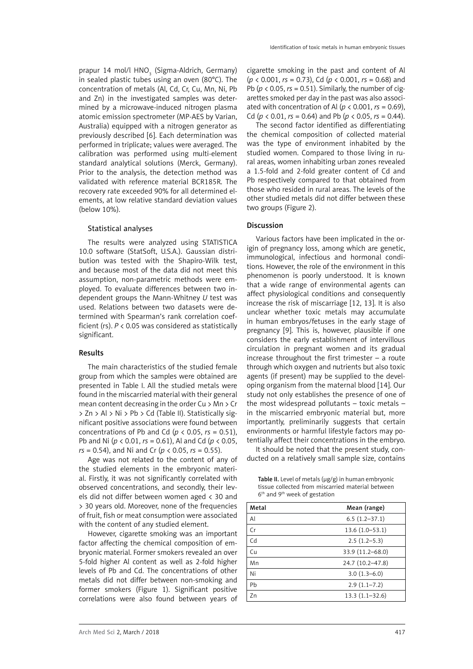prapur 14 mol/l HNO<sub>3</sub> (Sigma-Aldrich, Germany) in sealed plastic tubes using an oven (80°C). The concentration of metals (Al, Cd, Cr, Cu, Mn, Ni, Pb and Zn) in the investigated samples was determined by a microwave-induced nitrogen plasma atomic emission spectrometer (MP-AES by Varian, Australia) equipped with a nitrogen generator as previously described [6]. Each determination was performed in triplicate; values were averaged. The calibration was performed using multi-element standard analytical solutions (Merck, Germany). Prior to the analysis, the detection method was validated with reference material BCR185R. The recovery rate exceeded 90% for all determined elements, at low relative standard deviation values (below 10%).

#### Statistical analyses

The results were analyzed using STATISTICA 10.0 software (StatSoft, U.S.A.). Gaussian distribution was tested with the Shapiro-Wilk test, and because most of the data did not meet this assumption, non-parametric methods were employed. To evaluate differences between two independent groups the Mann-Whitney *U* test was used. Relations between two datasets were determined with Spearman's rank correlation coefficient (rs). *P* < 0.05 was considered as statistically significant.

#### Results

The main characteristics of the studied female group from which the samples were obtained are presented in Table I. All the studied metals were found in the miscarried material with their general mean content decreasing in the order Cu > Mn > Cr > Zn > Al > Ni > Pb > Cd (Table II). Statistically significant positive associations were found between concentrations of Pb and Cd ( $p < 0.05$ ,  $rs = 0.51$ ), Pb and Ni (*p* < 0.01, *rs* = 0.61), Al and Cd (*p* < 0.05, *rs* = 0.54), and Ni and Cr (*p* < 0.05, *rs* = 0.55).

Age was not related to the content of any of the studied elements in the embryonic material. Firstly, it was not significantly correlated with observed concentrations, and secondly, their levels did not differ between women aged < 30 and > 30 years old. Moreover, none of the frequencies of fruit, fish or meat consumption were associated with the content of any studied element.

However, cigarette smoking was an important factor affecting the chemical composition of embryonic material. Former smokers revealed an over 5-fold higher Al content as well as 2-fold higher levels of Pb and Cd. The concentrations of other metals did not differ between non-smoking and former smokers (Figure 1). Significant positive correlations were also found between years of

cigarette smoking in the past and content of Al (*p* < 0.001, *rs* = 0.73), Cd (*p* < 0.001, *rs* = 0.68) and Pb ( $p$  < 0.05,  $rs$  = 0.51). Similarly, the number of cigarettes smoked per day in the past was also associated with concentration of Al ( $p < 0.001$ ,  $rs = 0.69$ ), Cd ( $p \lt 0.01$ ,  $rs = 0.64$ ) and Pb ( $p \lt 0.05$ ,  $rs = 0.44$ ).

The second factor identified as differentiating the chemical composition of collected material was the type of environment inhabited by the studied women. Compared to those living in rural areas, women inhabiting urban zones revealed a 1.5-fold and 2-fold greater content of Cd and Pb respectively compared to that obtained from those who resided in rural areas. The levels of the other studied metals did not differ between these two groups (Figure 2).

## Discussion

Various factors have been implicated in the origin of pregnancy loss, among which are genetic, immunological, infectious and hormonal conditions. However, the role of the environment in this phenomenon is poorly understood. It is known that a wide range of environmental agents can affect physiological conditions and consequently increase the risk of miscarriage [12, 13]. It is also unclear whether toxic metals may accumulate in human embryos/fetuses in the early stage of pregnancy [9]. This is, however, plausible if one considers the early establishment of intervillous circulation in pregnant women and its gradual increase throughout the first trimester – a route through which oxygen and nutrients but also toxic agents (if present) may be supplied to the developing organism from the maternal blood [14]. Our study not only establishes the presence of one of the most widespread pollutants – toxic metals – in the miscarried embryonic material but, more importantly, preliminarily suggests that certain environments or harmful lifestyle factors may potentially affect their concentrations in the embryo.

It should be noted that the present study, conducted on a relatively small sample size, contains

Table II. Level of metals (μg/g) in human embryonic tissue collected from miscarried material between 6th and 9th week of gestation

| Metal | Mean (range)       |
|-------|--------------------|
| Al    | $6.5(1.2-37.1)$    |
| Cr    | $13.6(1.0-53.1)$   |
| Cd    | $2.5(1.2-5.3)$     |
| Cu    | 33.9 (11.2-68.0)   |
| Mn    | 24.7 (10.2-47.8)   |
| Ni    | $3.0(1.3-6.0)$     |
| Pb    | $2.9(1.1-7.2)$     |
| Zn    | $13.3(1.1 - 32.6)$ |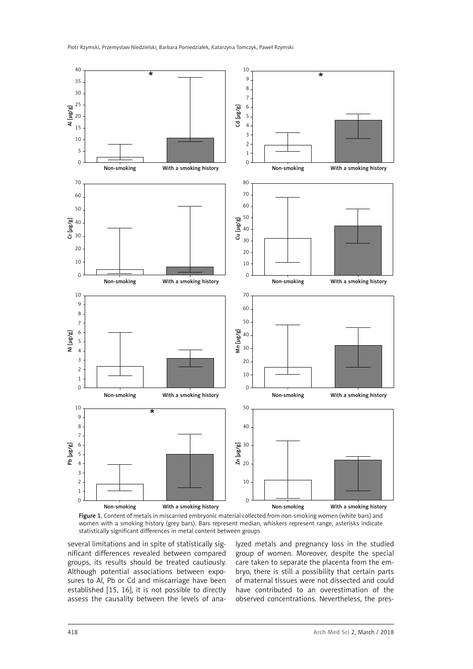



several limitations and in spite of statistically significant differences revealed between compared groups, its results should be treated cautiously. Although potential associations between exposures to Al, Pb or Cd and miscarriage have been established [15, 16], it is not possible to directly assess the causality between the levels of ana-

lyzed metals and pregnancy loss in the studied group of women. Moreover, despite the special care taken to separate the placenta from the embryo, there is still a possibility that certain parts of maternal tissues were not dissected and could have contributed to an overestimation of the observed concentrations. Nevertheless, the pres-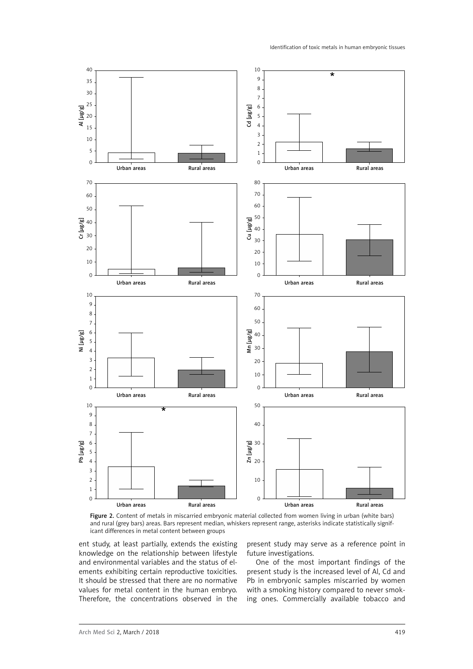

Figure 2. Content of metals in miscarried embryonic material collected from women living in urban (white bars) and rural (grey bars) areas. Bars represent median, whiskers represent range, asterisks indicate statistically significant differences in metal content between groups

ent study, at least partially, extends the existing knowledge on the relationship between lifestyle and environmental variables and the status of elements exhibiting certain reproductive toxicities. It should be stressed that there are no normative values for metal content in the human embryo. Therefore, the concentrations observed in the present study may serve as a reference point in future investigations.

One of the most important findings of the present study is the increased level of Al, Cd and Pb in embryonic samples miscarried by women with a smoking history compared to never smoking ones. Commercially available tobacco and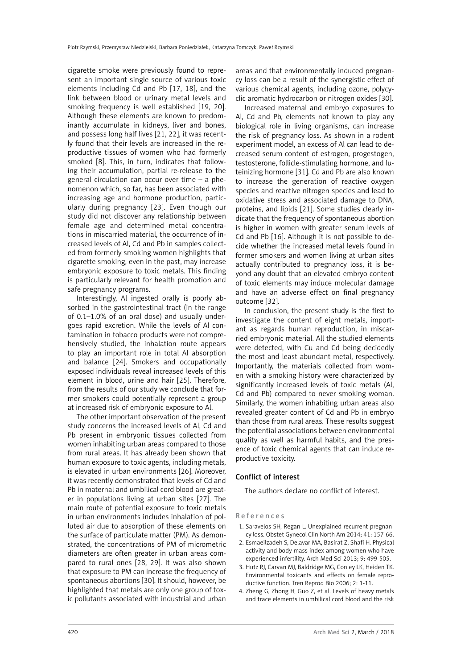cigarette smoke were previously found to represent an important single source of various toxic elements including Cd and Pb [17, 18], and the link between blood or urinary metal levels and smoking frequency is well established [19, 20]. Although these elements are known to predominantly accumulate in kidneys, liver and bones, and possess long half lives [21, 22], it was recently found that their levels are increased in the reproductive tissues of women who had formerly smoked [8]. This, in turn, indicates that following their accumulation, partial re-release to the general circulation can occur over time – a phenomenon which, so far, has been associated with increasing age and hormone production, particularly during pregnancy [23]. Even though our study did not discover any relationship between female age and determined metal concentrations in miscarried material, the occurrence of increased levels of Al, Cd and Pb in samples collected from formerly smoking women highlights that cigarette smoking, even in the past, may increase embryonic exposure to toxic metals. This finding is particularly relevant for health promotion and safe pregnancy programs.

Interestingly, Al ingested orally is poorly absorbed in the gastrointestinal tract (in the range of 0.1–1.0% of an oral dose) and usually undergoes rapid excretion. While the levels of Al contamination in tobacco products were not comprehensively studied, the inhalation route appears to play an important role in total Al absorption and balance [24]. Smokers and occupationally exposed individuals reveal increased levels of this element in blood, urine and hair [25]. Therefore, from the results of our study we conclude that former smokers could potentially represent a group at increased risk of embryonic exposure to Al.

The other important observation of the present study concerns the increased levels of Al, Cd and Pb present in embryonic tissues collected from women inhabiting urban areas compared to those from rural areas. It has already been shown that human exposure to toxic agents, including metals, is elevated in urban environments [26]. Moreover, it was recently demonstrated that levels of Cd and Pb in maternal and umbilical cord blood are greater in populations living at urban sites [27]. The main route of potential exposure to toxic metals in urban environments includes inhalation of polluted air due to absorption of these elements on the surface of particulate matter (PM). As demonstrated, the concentrations of PM of micrometric diameters are often greater in urban areas compared to rural ones [28, 29]. It was also shown that exposure to PM can increase the frequency of spontaneous abortions [30]. It should, however, be highlighted that metals are only one group of toxic pollutants associated with industrial and urban

areas and that environmentally induced pregnancy loss can be a result of the synergistic effect of various chemical agents, including ozone, polycyclic aromatic hydrocarbon or nitrogen oxides [30].

Increased maternal and embryo exposures to Al, Cd and Pb, elements not known to play any biological role in living organisms, can increase the risk of pregnancy loss. As shown in a rodent experiment model, an excess of Al can lead to decreased serum content of estrogen, progestogen, testosterone, follicle-stimulating hormone, and luteinizing hormone [31]. Cd and Pb are also known to increase the generation of reactive oxygen species and reactive nitrogen species and lead to oxidative stress and associated damage to DNA, proteins, and lipids [21]. Some studies clearly indicate that the frequency of spontaneous abortion is higher in women with greater serum levels of Cd and Pb [16]. Although it is not possible to decide whether the increased metal levels found in former smokers and women living at urban sites actually contributed to pregnancy loss, it is beyond any doubt that an elevated embryo content of toxic elements may induce molecular damage and have an adverse effect on final pregnancy outcome [32].

In conclusion, the present study is the first to investigate the content of eight metals, important as regards human reproduction, in miscarried embryonic material. All the studied elements were detected, with Cu and Cd being decidedly the most and least abundant metal, respectively. Importantly, the materials collected from women with a smoking history were characterized by significantly increased levels of toxic metals (Al, Cd and Pb) compared to never smoking woman. Similarly, the women inhabiting urban areas also revealed greater content of Cd and Pb in embryo than those from rural areas. These results suggest the potential associations between environmental quality as well as harmful habits, and the presence of toxic chemical agents that can induce reproductive toxicity.

#### Conflict of interest

The authors declare no conflict of interest.

#### References

- 1. Saravelos SH, Regan L. Unexplained recurrent pregnancy loss. Obstet Gynecol Clin North Am 2014; 41: 157-66.
- 2. Esmaeilzadeh S, Delavar MA, Basirat Z, Shafi H. Physical activity and body mass index among women who have experienced infertility. Arch Med Sci 2013; 9: 499-505.
- 3. Hutz RJ, Carvan MJ, Baldridge MG, Conley LK, Heiden TK. Environmental toxicants and effects on female reproductive function. Tren Reprod Bio 2006; 2: 1-11.
- 4. Zheng G, Zhong H, Guo Z, et al. Levels of heavy metals and trace elements in umbilical cord blood and the risk